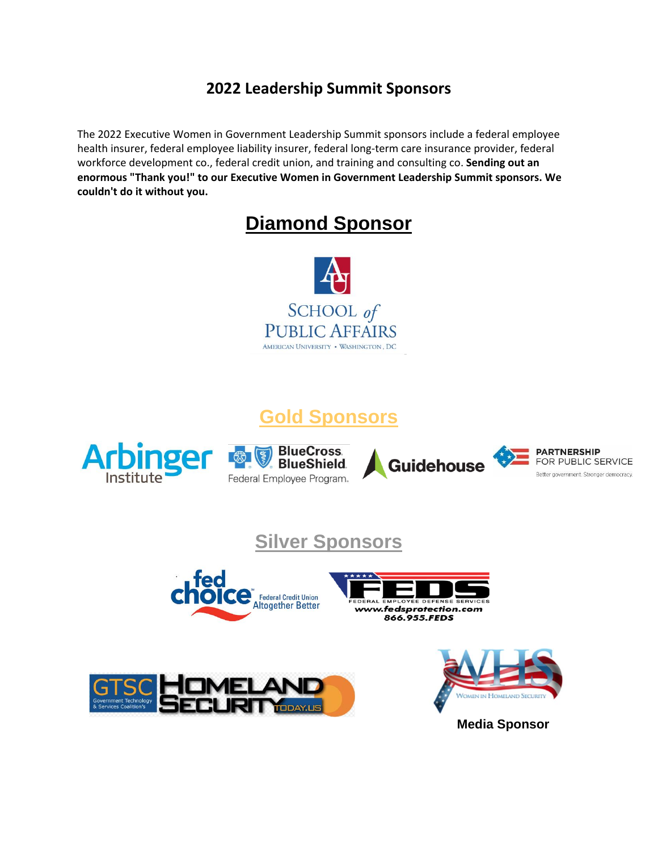### **2022 Leadership Summit Sponsors**

The 2022 Executive Women in Government Leadership Summit sponsors include a federal employee health insurer, federal employee liability insurer, federal long-term care insurance provider, federal workforce development co., federal credit union, and training and consulting co. **Sending out an enormous "Thank you!" to our Executive Women in Government Leadership Summit sponsors. We couldn't do it without you.**

# **Diamond Sponsor**



## **Gold Sponsors**









## **Silver Sponsors**